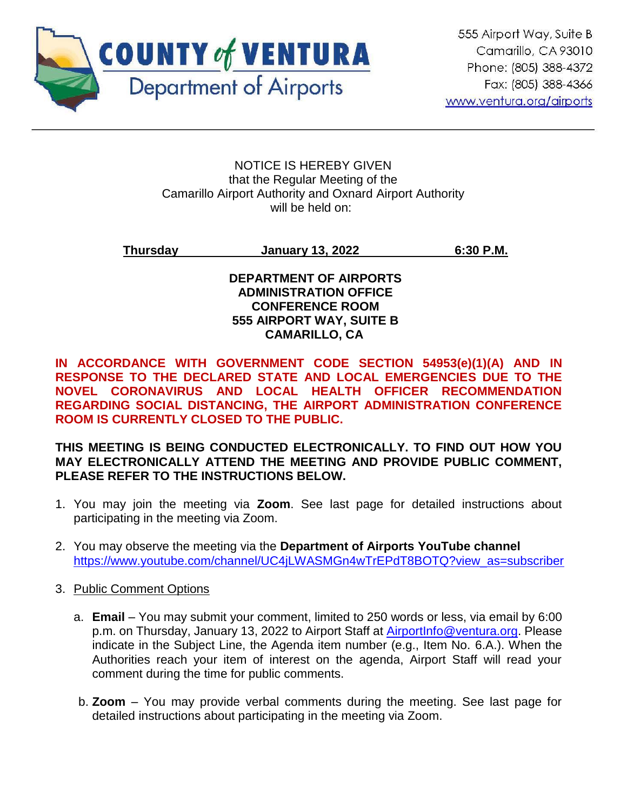

#### NOTICE IS HEREBY GIVEN that the Regular Meeting of the Camarillo Airport Authority and Oxnard Airport Authority will be held on:

## **Thursday January 13, 2022 6:30 P.M.**

## **DEPARTMENT OF AIRPORTS ADMINISTRATION OFFICE CONFERENCE ROOM 555 AIRPORT WAY, SUITE B CAMARILLO, CA**

**IN ACCORDANCE WITH GOVERNMENT CODE SECTION 54953(e)(1)(A) AND IN RESPONSE TO THE DECLARED STATE AND LOCAL EMERGENCIES DUE TO THE NOVEL CORONAVIRUS AND LOCAL HEALTH OFFICER RECOMMENDATION REGARDING SOCIAL DISTANCING, THE AIRPORT ADMINISTRATION CONFERENCE ROOM IS CURRENTLY CLOSED TO THE PUBLIC.** 

## **THIS MEETING IS BEING CONDUCTED ELECTRONICALLY. TO FIND OUT HOW YOU MAY ELECTRONICALLY ATTEND THE MEETING AND PROVIDE PUBLIC COMMENT, PLEASE REFER TO THE INSTRUCTIONS BELOW.**

- 1. You may join the meeting via **Zoom**. See last page for detailed instructions about participating in the meeting via Zoom.
- 2. You may observe the meeting via the **Department of Airports YouTube channel** [https://www.youtube.com/channel/UC4jLWASMGn4wTrEPdT8BOTQ?view\\_as=subscriber](https://www.youtube.com/channel/UC4jLWASMGn4wTrEPdT8BOTQ?view_as=subscriber)

## 3. Public Comment Options

- a. **Email**  You may submit your comment, limited to 250 words or less, via email by 6:00 p.m. on Thursday, January 13, 2022 to Airport Staff at [AirportInfo@ventura.org.](mailto:AirportInfo@ventura.org) Please indicate in the Subject Line, the Agenda item number (e.g., Item No. 6.A.). When the Authorities reach your item of interest on the agenda, Airport Staff will read your comment during the time for public comments.
- b. **Zoom** You may provide verbal comments during the meeting. See last page for detailed instructions about participating in the meeting via Zoom.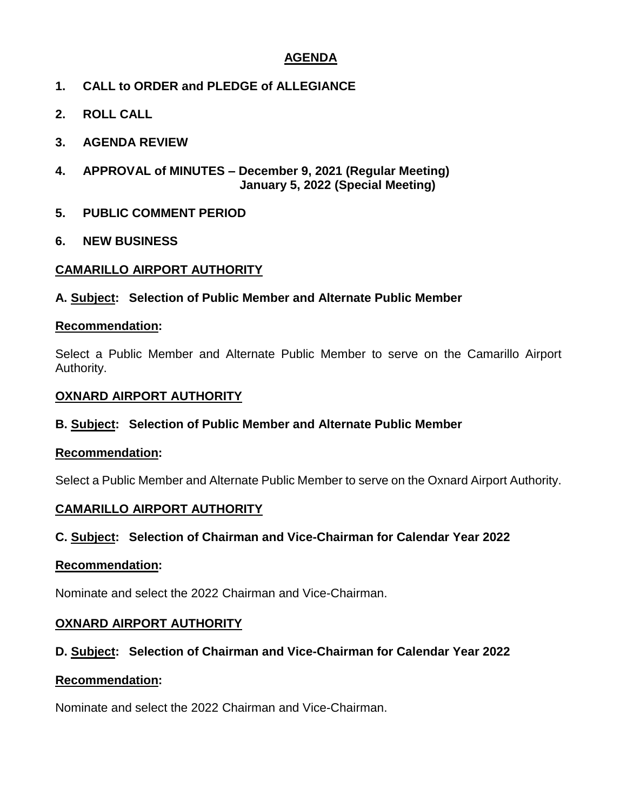## **AGENDA**

- **1. CALL to ORDER and PLEDGE of ALLEGIANCE**
- **2. ROLL CALL**
- **3. AGENDA REVIEW**
- **4. APPROVAL of MINUTES – December 9, 2021 (Regular Meeting) January 5, 2022 (Special Meeting)**
- **5. PUBLIC COMMENT PERIOD**
- **6. NEW BUSINESS**

## **CAMARILLO AIRPORT AUTHORITY**

## **A. Subject: Selection of Public Member and Alternate Public Member**

#### **Recommendation:**

Select a Public Member and Alternate Public Member to serve on the Camarillo Airport Authority.

## **OXNARD AIRPORT AUTHORITY**

## **B. Subject: Selection of Public Member and Alternate Public Member**

## **Recommendation:**

Select a Public Member and Alternate Public Member to serve on the Oxnard Airport Authority.

## **CAMARILLO AIRPORT AUTHORITY**

## **C. Subject: Selection of Chairman and Vice-Chairman for Calendar Year 2022**

## **Recommendation:**

Nominate and select the 2022 Chairman and Vice-Chairman.

## **OXNARD AIRPORT AUTHORITY**

## **D. Subject: Selection of Chairman and Vice-Chairman for Calendar Year 2022**

## **Recommendation:**

Nominate and select the 2022 Chairman and Vice-Chairman.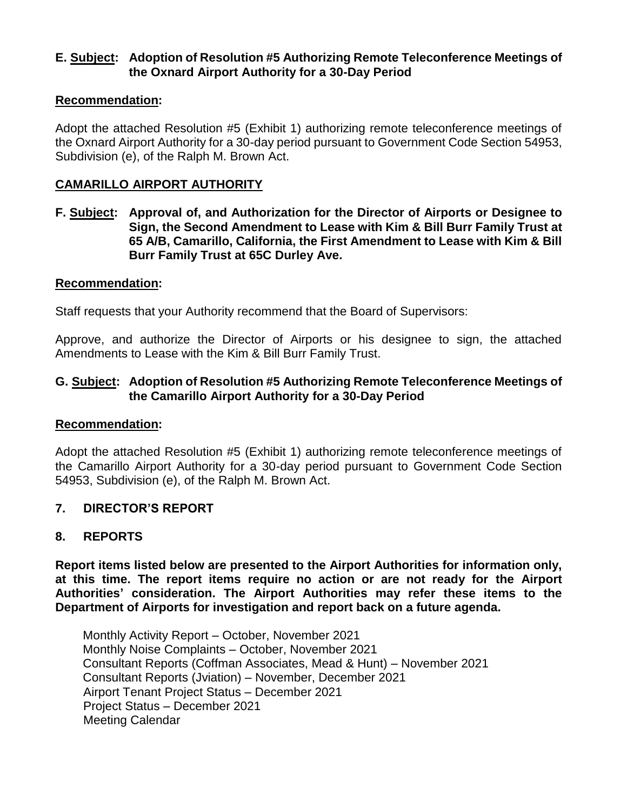## **E. Subject: Adoption of Resolution #5 Authorizing Remote Teleconference Meetings of the Oxnard Airport Authority for a 30-Day Period**

## **Recommendation:**

Adopt the attached Resolution #5 (Exhibit 1) authorizing remote teleconference meetings of the Oxnard Airport Authority for a 30-day period pursuant to Government Code Section 54953, Subdivision (e), of the Ralph M. Brown Act.

## **CAMARILLO AIRPORT AUTHORITY**

**F. Subject: Approval of, and Authorization for the Director of Airports or Designee to Sign, the Second Amendment to Lease with Kim & Bill Burr Family Trust at 65 A/B, Camarillo, California, the First Amendment to Lease with Kim & Bill Burr Family Trust at 65C Durley Ave.**

#### **Recommendation:**

Staff requests that your Authority recommend that the Board of Supervisors:

Approve, and authorize the Director of Airports or his designee to sign, the attached Amendments to Lease with the Kim & Bill Burr Family Trust.

## **G. Subject: Adoption of Resolution #5 Authorizing Remote Teleconference Meetings of the Camarillo Airport Authority for a 30-Day Period**

#### **Recommendation:**

Adopt the attached Resolution #5 (Exhibit 1) authorizing remote teleconference meetings of the Camarillo Airport Authority for a 30-day period pursuant to Government Code Section 54953, Subdivision (e), of the Ralph M. Brown Act.

## **7. DIRECTOR'S REPORT**

## **8. REPORTS**

**Report items listed below are presented to the Airport Authorities for information only, at this time. The report items require no action or are not ready for the Airport Authorities' consideration. The Airport Authorities may refer these items to the Department of Airports for investigation and report back on a future agenda.** 

Monthly Activity Report – October, November 2021 Monthly Noise Complaints – October, November 2021 Consultant Reports (Coffman Associates, Mead & Hunt) – November 2021 Consultant Reports (Jviation) – November, December 2021 Airport Tenant Project Status – December 2021 Project Status – December 2021 Meeting Calendar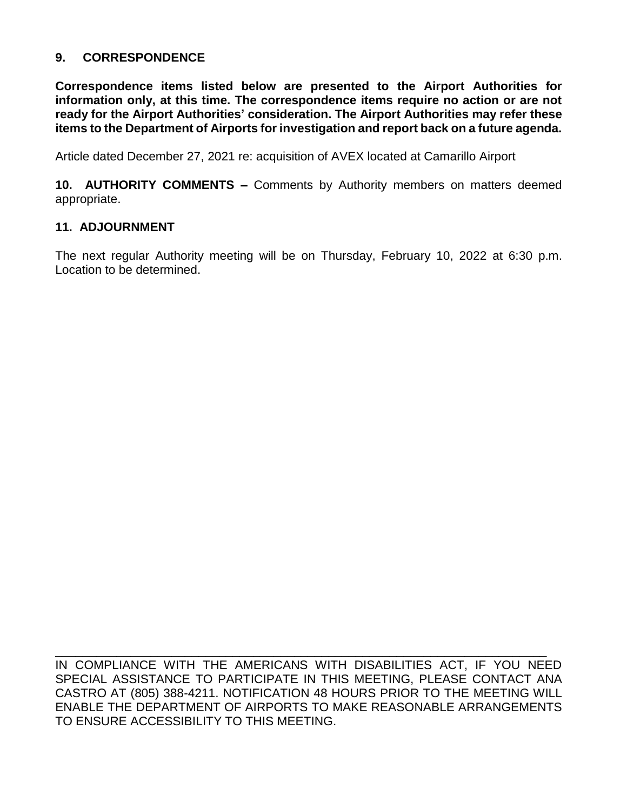## **9. CORRESPONDENCE**

**Correspondence items listed below are presented to the Airport Authorities for information only, at this time. The correspondence items require no action or are not ready for the Airport Authorities' consideration. The Airport Authorities may refer these items to the Department of Airports for investigation and report back on a future agenda.** 

Article dated December 27, 2021 re: acquisition of AVEX located at Camarillo Airport

**10. AUTHORITY COMMENTS –** Comments by Authority members on matters deemed appropriate.

#### **11. ADJOURNMENT**

The next regular Authority meeting will be on Thursday, February 10, 2022 at 6:30 p.m. Location to be determined.

IN COMPLIANCE WITH THE AMERICANS WITH DISABILITIES ACT, IF YOU NEED SPECIAL ASSISTANCE TO PARTICIPATE IN THIS MEETING, PLEASE CONTACT ANA CASTRO AT (805) 388-4211. NOTIFICATION 48 HOURS PRIOR TO THE MEETING WILL ENABLE THE DEPARTMENT OF AIRPORTS TO MAKE REASONABLE ARRANGEMENTS TO ENSURE ACCESSIBILITY TO THIS MEETING.

\_\_\_\_\_\_\_\_\_\_\_\_\_\_\_\_\_\_\_\_\_\_\_\_\_\_\_\_\_\_\_\_\_\_\_\_\_\_\_\_\_\_\_\_\_\_\_\_\_\_\_\_\_\_\_\_\_\_\_\_\_\_\_\_\_\_\_\_\_\_\_\_